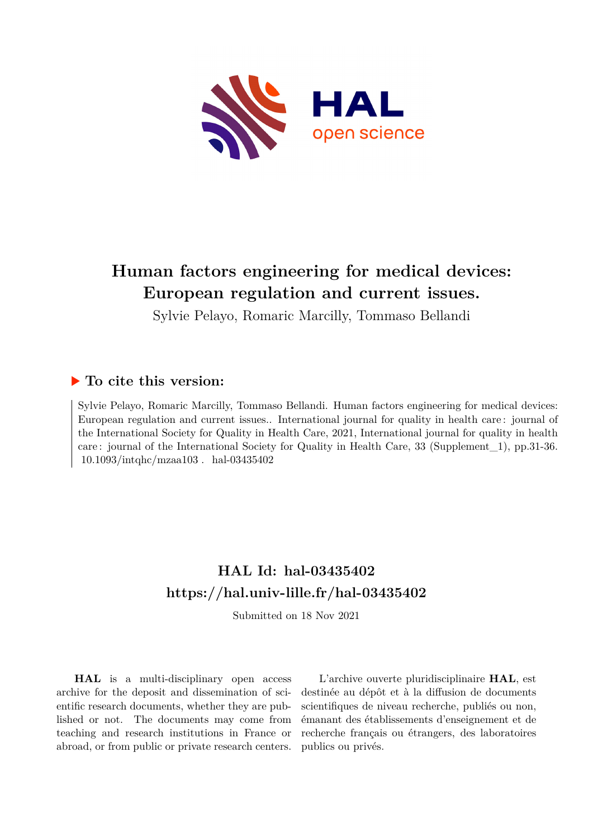

# **Human factors engineering for medical devices: European regulation and current issues.**

Sylvie Pelayo, Romaric Marcilly, Tommaso Bellandi

### **To cite this version:**

Sylvie Pelayo, Romaric Marcilly, Tommaso Bellandi. Human factors engineering for medical devices: European regulation and current issues.. International journal for quality in health care : journal of the International Society for Quality in Health Care, 2021, International journal for quality in health care : journal of the International Society for Quality in Health Care, 33 (Supplement\_1), pp.31-36.  $10.1093/int qhc/mzaa103$ . hal-03435402

## **HAL Id: hal-03435402 <https://hal.univ-lille.fr/hal-03435402>**

Submitted on 18 Nov 2021

**HAL** is a multi-disciplinary open access archive for the deposit and dissemination of scientific research documents, whether they are published or not. The documents may come from teaching and research institutions in France or abroad, or from public or private research centers.

L'archive ouverte pluridisciplinaire **HAL**, est destinée au dépôt et à la diffusion de documents scientifiques de niveau recherche, publiés ou non, émanant des établissements d'enseignement et de recherche français ou étrangers, des laboratoires publics ou privés.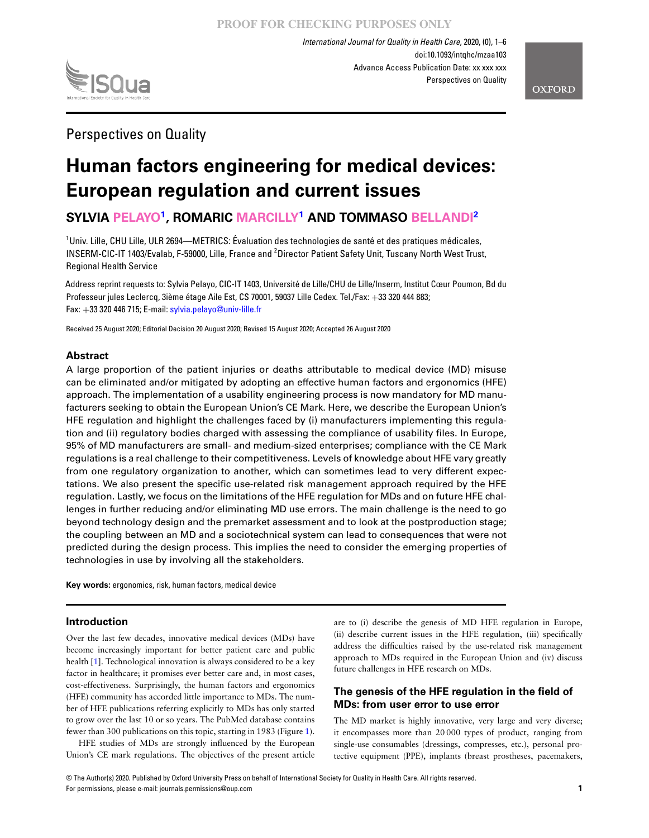

*International Journal for Quality in Health Care*, 2020, (0), 1–6 doi:10.1093/intqhc/mzaa103 Advance Access Publication Date: xx xxx xxx Perspectives on Quality

Perspectives on Quality

# **Human factors engineering for medical devices: European regulation and current issues**

**SYLVIA PELAYO1 , ROMARIC MARCILLY1 AND TOMMASO BELLANDI2**

<sup>1</sup>Univ. Lille, CHU Lille, ULR 2694—METRICS: Évaluation des technologies de santé et des pratiques médicales, INSERM-CIC-IT 1403/Evalab, F-59000, Lille, France and <sup>2</sup>Director Patient Safety Unit, Tuscany North West Trust, Regional Health Service

Address reprint requests to: Sylvia Pelayo, CIC-IT 1403, Université de Lille/CHU de Lille/Inserm, Institut Cœur Poumon, Bd du Professeur jules Leclercq, 3ième étage Aile Est, CS 70001, 59037 Lille Cedex. Tel./Fax: +33 320 444 883; Fax:  $+33$  320 446 715; E-mail: <sylvia.pelayo@univ-lille.fr>

Received 25 August 2020; Editorial Decision 20 August 2020; Revised 15 August 2020; Accepted 26 August 2020

#### **Abstract**

A large proportion of the patient injuries or deaths attributable to medical device (MD) misuse can be eliminated and/or mitigated by adopting an effective human factors and ergonomics (HFE) approach. The implementation of a usability engineering process is now mandatory for MD manufacturers seeking to obtain the European Union's CE Mark. Here, we describe the European Union's HFE regulation and highlight the challenges faced by (i) manufacturers implementing this regulation and (ii) regulatory bodies charged with assessing the compliance of usability files. In Europe, 95% of MD manufacturers are small- and medium-sized enterprises; compliance with the CE Mark regulations is a real challenge to their competitiveness. Levels of knowledge about HFE vary greatly from one regulatory organization to another, which can sometimes lead to very different expectations. We also present the specific use-related risk management approach required by the HFE regulation. Lastly, we focus on the limitations of the HFE regulation for MDs and on future HFE challenges in further reducing and/or eliminating MD use errors. The main challenge is the need to go beyond technology design and the premarket assessment and to look at the postproduction stage; the coupling between an MD and a sociotechnical system can lead to consequences that were not predicted during the design process. This implies the need to consider the emerging properties of technologies in use by involving all the stakeholders.

**Key words:** ergonomics, risk, human factors, medical device

#### **Introduction**

Over the last few decades, innovative medical devices (MDs) have become increasingly important for better patient care and public health [1]. Technological innovation is always considered to be a key factor in healthcare; it promises ever better care and, in most cases, cost-effectiveness. Surprisingly, the human factors and ergonomics (HFE) community has accorded little importance to MDs. The number of HFE publications referring explicitly to MDs has only started to grow over the last 10 or so years. The PubMed database contains fewer than 300 publications on this topic, starting in 1983 (Figure 1).

HFE studies of MDs are strongly influenced by the European Union's CE mark regulations. The objectives of the present article are to (i) describe the genesis of MD HFE regulation in Europe, (ii) describe current issues in the HFE regulation, (iii) specifically address the difficulties raised by the use-related risk management approach to MDs required in the European Union and (iv) discuss future challenges in HFE research on MDs.

#### **The genesis of the HFE regulation in the field of MDs: from user error to use error**

The MD market is highly innovative, very large and very diverse; it encompasses more than 20 000 types of product, ranging from single-use consumables (dressings, compresses, etc.), personal protective equipment (PPE), implants (breast prostheses, pacemakers,

© The Author(s) 2020. Published by Oxford University Press on behalf of International Society for Quality in Health Care. All rights reserved. For permissions, please e-mail: journals.permissions@oup.com **1**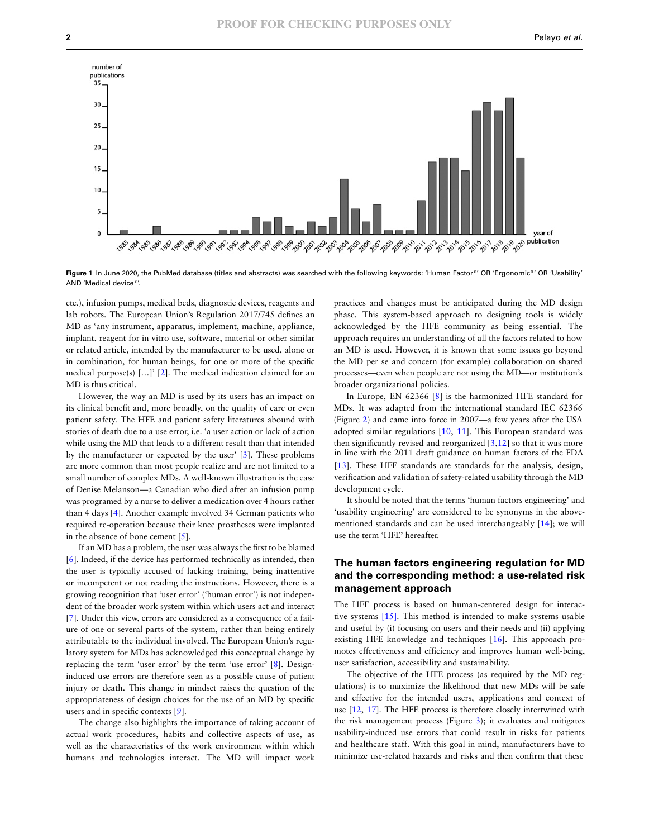

Figure 1 In June 2020, the PubMed database (titles and abstracts) was searched with the following keywords: 'Human Factor\*' OR 'Ergonomic\*' OR 'Usability' AND 'Medical device\*'.

etc.), infusion pumps, medical beds, diagnostic devices, reagents and lab robots. The European Union's Regulation 2017/745 defines an MD as 'any instrument, apparatus, implement, machine, appliance, implant, reagent for in vitro use, software, material or other similar or related article, intended by the manufacturer to be used, alone or in combination, for human beings, for one or more of the specific medical purpose(s) […]' [2]. The medical indication claimed for an MD is thus critical.

However, the way an MD is used by its users has an impact on its clinical benefit and, more broadly, on the quality of care or even patient safety. The HFE and patient safety literatures abound with stories of death due to a use error, i.e. 'a user action or lack of action while using the MD that leads to a different result than that intended by the manufacturer or expected by the user' [3]. These problems are more common than most people realize and are not limited to a small number of complex MDs. A well-known illustration is the case of Denise Melanson—a Canadian who died after an infusion pump was programed by a nurse to deliver a medication over 4 hours rather than 4 days [4]. Another example involved 34 German patients who required re-operation because their knee prostheses were implanted in the absence of bone cement [5].

If an MD has a problem, the user was always the first to be blamed [6]. Indeed, if the device has performed technically as intended, then the user is typically accused of lacking training, being inattentive or incompetent or not reading the instructions. However, there is a growing recognition that 'user error' ('human error') is not independent of the broader work system within which users act and interact [7]. Under this view, errors are considered as a consequence of a failure of one or several parts of the system, rather than being entirely attributable to the individual involved. The European Union's regulatory system for MDs has acknowledged this conceptual change by replacing the term 'user error' by the term 'use error' [8]. Designinduced use errors are therefore seen as a possible cause of patient injury or death. This change in mindset raises the question of the appropriateness of design choices for the use of an MD by specific users and in specific contexts [9].

The change also highlights the importance of taking account of actual work procedures, habits and collective aspects of use, as well as the characteristics of the work environment within which humans and technologies interact. The MD will impact work

practices and changes must be anticipated during the MD design phase. This system-based approach to designing tools is widely acknowledged by the HFE community as being essential. The approach requires an understanding of all the factors related to how an MD is used. However, it is known that some issues go beyond the MD per se and concern (for example) collaboration on shared processes—even when people are not using the MD—or institution's broader organizational policies.

In Europe, EN 62366 [8] is the harmonized HFE standard for MDs. It was adapted from the international standard IEC 62366 (Figure 2) and came into force in 2007—a few years after the USA adopted similar regulations [10, 11]. This European standard was then significantly revised and reorganized  $[3,12]$  so that it was more in line with the 2011 draft guidance on human factors of the FDA [13]. These HFE standards are standards for the analysis, design, verification and validation of safety-related usability through the MD development cycle.

It should be noted that the terms 'human factors engineering' and 'usability engineering' are considered to be synonyms in the abovementioned standards and can be used interchangeably [14]; we will use the term 'HFE' hereafter.

#### **The human factors engineering regulation for MD and the corresponding method: a use-related risk management approach**

The HFE process is based on human-centered design for interactive systems [15]. This method is intended to make systems usable and useful by (i) focusing on users and their needs and (ii) applying existing HFE knowledge and techniques [16]. This approach promotes effectiveness and efficiency and improves human well-being, user satisfaction, accessibility and sustainability.

The objective of the HFE process (as required by the MD regulations) is to maximize the likelihood that new MDs will be safe and effective for the intended users, applications and context of use [12, 17]. The HFE process is therefore closely intertwined with the risk management process (Figure 3); it evaluates and mitigates usability-induced use errors that could result in risks for patients and healthcare staff. With this goal in mind, manufacturers have to minimize use-related hazards and risks and then confirm that these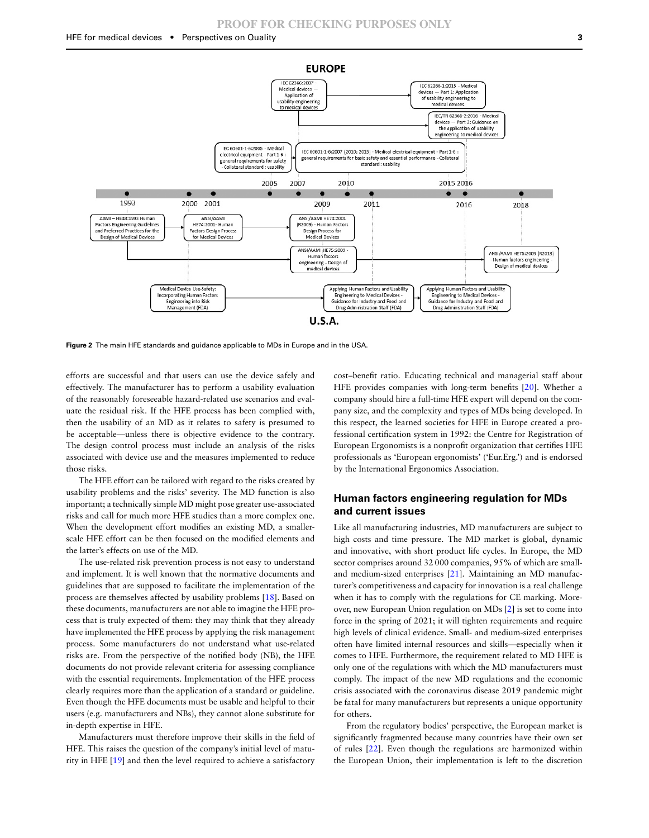

**Figure 2** The main HFE standards and guidance applicable to MDs in Europe and in the USA.

efforts are successful and that users can use the device safely and effectively. The manufacturer has to perform a usability evaluation of the reasonably foreseeable hazard-related use scenarios and evaluate the residual risk. If the HFE process has been complied with, then the usability of an MD as it relates to safety is presumed to be acceptable—unless there is objective evidence to the contrary. The design control process must include an analysis of the risks associated with device use and the measures implemented to reduce those risks.

The HFE effort can be tailored with regard to the risks created by usability problems and the risks' severity. The MD function is also important; a technically simple MD might pose greater use-associated risks and call for much more HFE studies than a more complex one. When the development effort modifies an existing MD, a smallerscale HFE effort can be then focused on the modified elements and the latter's effects on use of the MD.

The use-related risk prevention process is not easy to understand and implement. It is well known that the normative documents and guidelines that are supposed to facilitate the implementation of the process are themselves affected by usability problems [18]. Based on these documents, manufacturers are not able to imagine the HFE process that is truly expected of them: they may think that they already have implemented the HFE process by applying the risk management process. Some manufacturers do not understand what use-related risks are. From the perspective of the notified body (NB), the HFE documents do not provide relevant criteria for assessing compliance with the essential requirements. Implementation of the HFE process clearly requires more than the application of a standard or guideline. Even though the HFE documents must be usable and helpful to their users (e.g. manufacturers and NBs), they cannot alone substitute for in-depth expertise in HFE.

Manufacturers must therefore improve their skills in the field of HFE. This raises the question of the company's initial level of maturity in HFE [19] and then the level required to achieve a satisfactory

cost–benefit ratio. Educating technical and managerial staff about HFE provides companies with long-term benefits [20]. Whether a company should hire a full-time HFE expert will depend on the company size, and the complexity and types of MDs being developed. In this respect, the learned societies for HFE in Europe created a professional certification system in 1992: the Centre for Registration of European Ergonomists is a nonprofit organization that certifies HFE professionals as 'European ergonomists' ('Eur.Erg.') and is endorsed by the International Ergonomics Association.

#### **Human factors engineering regulation for MDs and current issues**

Like all manufacturing industries, MD manufacturers are subject to high costs and time pressure. The MD market is global, dynamic and innovative, with short product life cycles. In Europe, the MD sector comprises around 32 000 companies, 95% of which are smalland medium-sized enterprises [21]. Maintaining an MD manufacturer's competitiveness and capacity for innovation is a real challenge when it has to comply with the regulations for CE marking. Moreover, new European Union regulation on MDs [2] is set to come into force in the spring of 2021; it will tighten requirements and require high levels of clinical evidence. Small- and medium-sized enterprises often have limited internal resources and skills—especially when it comes to HFE. Furthermore, the requirement related to MD HFE is only one of the regulations with which the MD manufacturers must comply. The impact of the new MD regulations and the economic crisis associated with the coronavirus disease 2019 pandemic might be fatal for many manufacturers but represents a unique opportunity for others.

From the regulatory bodies' perspective, the European market is significantly fragmented because many countries have their own set of rules [22]. Even though the regulations are harmonized within the European Union, their implementation is left to the discretion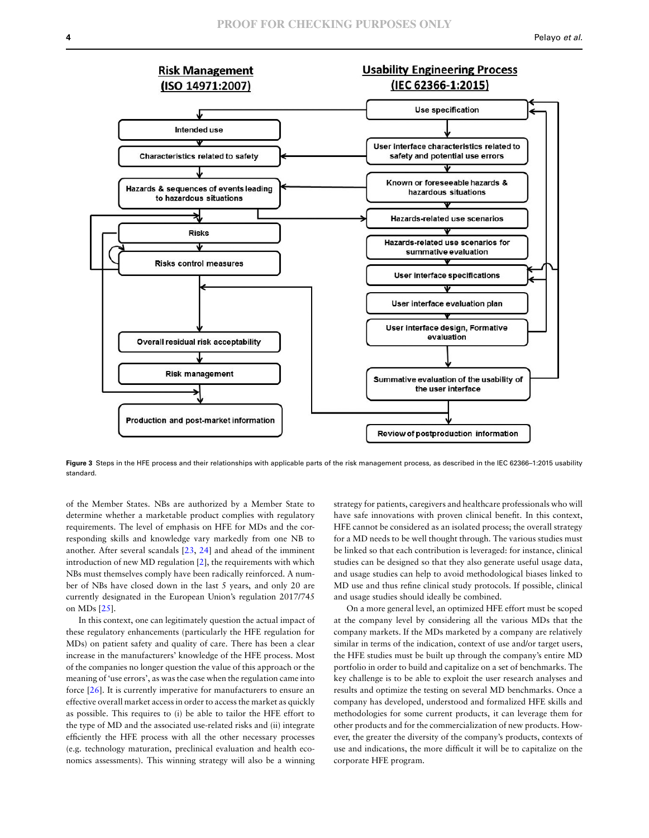

**Figure 3** Steps in the HFE process and their relationships with applicable parts of the risk management process, as described in the IEC 62366–1:2015 usability standard.

of the Member States. NBs are authorized by a Member State to determine whether a marketable product complies with regulatory requirements. The level of emphasis on HFE for MDs and the corresponding skills and knowledge vary markedly from one NB to another. After several scandals [23, 24] and ahead of the imminent introduction of new MD regulation [2], the requirements with which NBs must themselves comply have been radically reinforced. A number of NBs have closed down in the last 5 years, and only 20 are currently designated in the European Union's regulation 2017/745 on MDs [25].

In this context, one can legitimately question the actual impact of these regulatory enhancements (particularly the HFE regulation for MDs) on patient safety and quality of care. There has been a clear increase in the manufacturers' knowledge of the HFE process. Most of the companies no longer question the value of this approach or the meaning of 'use errors', as was the case when the regulation came into force [26]. It is currently imperative for manufacturers to ensure an effective overall market access in order to access the market as quickly as possible. This requires to (i) be able to tailor the HFE effort to the type of MD and the associated use-related risks and (ii) integrate efficiently the HFE process with all the other necessary processes (e.g. technology maturation, preclinical evaluation and health economics assessments). This winning strategy will also be a winning strategy for patients, caregivers and healthcare professionals who will have safe innovations with proven clinical benefit. In this context, HFE cannot be considered as an isolated process; the overall strategy for a MD needs to be well thought through. The various studies must be linked so that each contribution is leveraged: for instance, clinical studies can be designed so that they also generate useful usage data, and usage studies can help to avoid methodological biases linked to MD use and thus refine clinical study protocols. If possible, clinical and usage studies should ideally be combined.

On a more general level, an optimized HFE effort must be scoped at the company level by considering all the various MDs that the company markets. If the MDs marketed by a company are relatively similar in terms of the indication, context of use and/or target users, the HFE studies must be built up through the company's entire MD portfolio in order to build and capitalize on a set of benchmarks. The key challenge is to be able to exploit the user research analyses and results and optimize the testing on several MD benchmarks. Once a company has developed, understood and formalized HFE skills and methodologies for some current products, it can leverage them for other products and for the commercialization of new products. However, the greater the diversity of the company's products, contexts of use and indications, the more difficult it will be to capitalize on the corporate HFE program.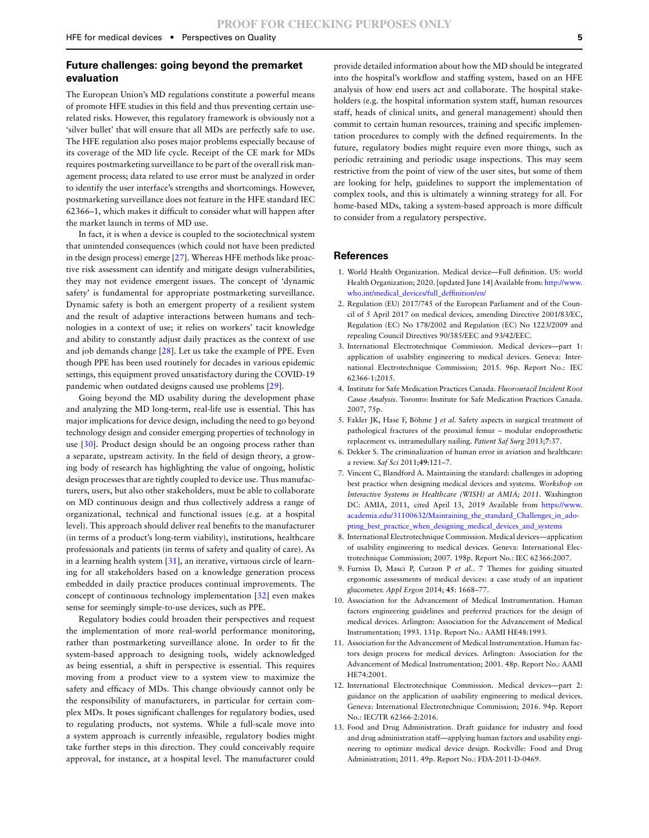#### **Future challenges: going beyond the premarket evaluation**

The European Union's MD regulations constitute a powerful means of promote HFE studies in this field and thus preventing certain userelated risks. However, this regulatory framework is obviously not a 'silver bullet' that will ensure that all MDs are perfectly safe to use. The HFE regulation also poses major problems especially because of its coverage of the MD life cycle. Receipt of the CE mark for MDs requires postmarketing surveillance to be part of the overall risk management process; data related to use error must be analyzed in order to identify the user interface's strengths and shortcomings. However, postmarketing surveillance does not feature in the HFE standard IEC 62366–1, which makes it difficult to consider what will happen after the market launch in terms of MD use.

In fact, it is when a device is coupled to the sociotechnical system that unintended consequences (which could not have been predicted in the design process) emerge [27]. Whereas HFE methods like proactive risk assessment can identify and mitigate design vulnerabilities, they may not evidence emergent issues. The concept of 'dynamic safety' is fundamental for appropriate postmarketing surveillance. Dynamic safety is both an emergent property of a resilient system and the result of adaptive interactions between humans and technologies in a context of use; it relies on workers' tacit knowledge and ability to constantly adjust daily practices as the context of use and job demands change [28]. Let us take the example of PPE. Even though PPE has been used routinely for decades in various epidemic settings, this equipment proved unsatisfactory during the COVID-19 pandemic when outdated designs caused use problems [29].

Going beyond the MD usability during the development phase and analyzing the MD long-term, real-life use is essential. This has major implications for device design, including the need to go beyond technology design and consider emerging properties of technology in use [30]. Product design should be an ongoing process rather than a separate, upstream activity. In the field of design theory, a growing body of research has highlighting the value of ongoing, holistic design processes that are tightly coupled to device use. Thus manufacturers, users, but also other stakeholders, must be able to collaborate on MD continuous design and thus collectively address a range of organizational, technical and functional issues (e.g. at a hospital level). This approach should deliver real benefits to the manufacturer (in terms of a product's long-term viability), institutions, healthcare professionals and patients (in terms of safety and quality of care). As in a learning health system [31], an iterative, virtuous circle of learning for all stakeholders based on a knowledge generation process embedded in daily practice produces continual improvements. The concept of continuous technology implementation [32] even makes sense for seemingly simple-to-use devices, such as PPE.

Regulatory bodies could broaden their perspectives and request the implementation of more real-world performance monitoring, rather than postmarketing surveillance alone. In order to fit the system-based approach to designing tools, widely acknowledged as being essential, a shift in perspective is essential. This requires moving from a product view to a system view to maximize the safety and efficacy of MDs. This change obviously cannot only be the responsibility of manufacturers, in particular for certain complex MDs. It poses significant challenges for regulatory bodies, used to regulating products, not systems. While a full-scale move into a system approach is currently infeasible, regulatory bodies might take further steps in this direction. They could conceivably require approval, for instance, at a hospital level. The manufacturer could

provide detailed information about how the MD should be integrated into the hospital's workflow and staffing system, based on an HFE analysis of how end users act and collaborate. The hospital stakeholders (e.g. the hospital information system staff, human resources staff, heads of clinical units, and general management) should then commit to certain human resources, training and specific implementation procedures to comply with the defined requirements. In the future, regulatory bodies might require even more things, such as periodic retraining and periodic usage inspections. This may seem restrictive from the point of view of the user sites, but some of them are looking for help, guidelines to support the implementation of complex tools, and this is ultimately a winning strategy for all. For home-based MDs, taking a system-based approach is more difficult to consider from a regulatory perspective.

#### **References**

- 1. World Health Organization. Medical device—Full definition. US: world Health Organization; 2020. [updated June 14] Available from: [http://www.](http://www.who.int/medical_devices/full_deffinition/en/) [who.int/medical\\_devices/full\\_deffinition/en/](http://www.who.int/medical_devices/full_deffinition/en/)
- 2. Regulation (EU) 2017/745 of the European Parliament and of the Council of 5 April 2017 on medical devices, amending Directive 2001/83/EC, Regulation (EC) No 178/2002 and Regulation (EC) No 1223/2009 and repealing Council Directives 90/385/EEC and 93/42/EEC.
- 3. International Electrotechnique Commission. Medical devices—part 1: application of usability engineering to medical devices. Geneva: International Electrotechnique Commission; 2015. 96p. Report No.: IEC 62366-1:2015.
- 4. Institute for Safe Medication Practices Canada. *Fluorouracil Incident Root Cause Analysis*. Toronto: Institute for Safe Medication Practices Canada. 2007, 75p.
- 5. Fakler JK, Hase F, Böhme J *et al.* Safety aspects in surgical treatment of pathological fractures of the proximal femur – modular endoprosthetic replacement vs. intramedullary nailing. *Patient Saf Surg* 2013;**7**:37.
- 6. Dekker S. The criminalization of human error in aviation and healthcare: a review. *Saf Sci* 2011;**49**:121–7.
- 7. Vincent C, Blandford A. Maintaining the standard: challenges in adopting best practice when designing medical devices and systems. *Workshop on Interactive Systems in Healthcare (WISH) at AMIA; 2011*. Washington DC: AMIA, 2011, cited April 13, 2019 Available from [https://www.](https://www.academia.edu/31100632/Maintaining_the_standard_Challenges_in_adopting_best_practice_when_designing_medical_devices_and_systems) [academia.edu/31100632/Maintaining\\_the\\_standard\\_Challenges\\_in\\_ado](https://www.academia.edu/31100632/Maintaining_the_standard_Challenges_in_adopting_best_practice_when_designing_medical_devices_and_systems)[pting\\_best\\_practice\\_when\\_designing\\_medical\\_devices\\_and\\_systems](https://www.academia.edu/31100632/Maintaining_the_standard_Challenges_in_adopting_best_practice_when_designing_medical_devices_and_systems)
- 8. International Electrotechnique Commission. Medical devices—application of usability engineering to medical devices. Geneva: International Electrotechnique Commission; 2007. 198p. Report No.: IEC 62366:2007.
- 9. Furniss D, Masci P, Curzon P *et al.*. 7 Themes for guiding situated ergonomic assessments of medical devices: a case study of an inpatient glucometer. *Appl Ergon* 2014; **45**: 1668–77.
- 10. Association for the Advancement of Medical Instrumentation. Human factors engineering guidelines and preferred practices for the design of medical devices. Arlington: Association for the Advancement of Medical Instrumentation; 1993. 131p. Report No.: AAMI HE48:1993.
- 11. Association for the Advancement of Medical Instrumentation. Human factors design process for medical devices. Arlington: Association for the Advancement of Medical Instrumentation; 2001. 48p. Report No.: AAMI HE74:2001.
- 12. International Electrotechnique Commission. Medical devices—part 2: guidance on the application of usability engineering to medical devices. Geneva: International Electrotechnique Commission; 2016. 94p. Report No.: IEC/TR 62366-2:2016.
- 13. Food and Drug Administration. Draft guidance for industry and food and drug administration staff—applying human factors and usability engineering to optimize medical device design. Rockville: Food and Drug Administration; 2011. 49p. Report No.: FDA-2011-D-0469.